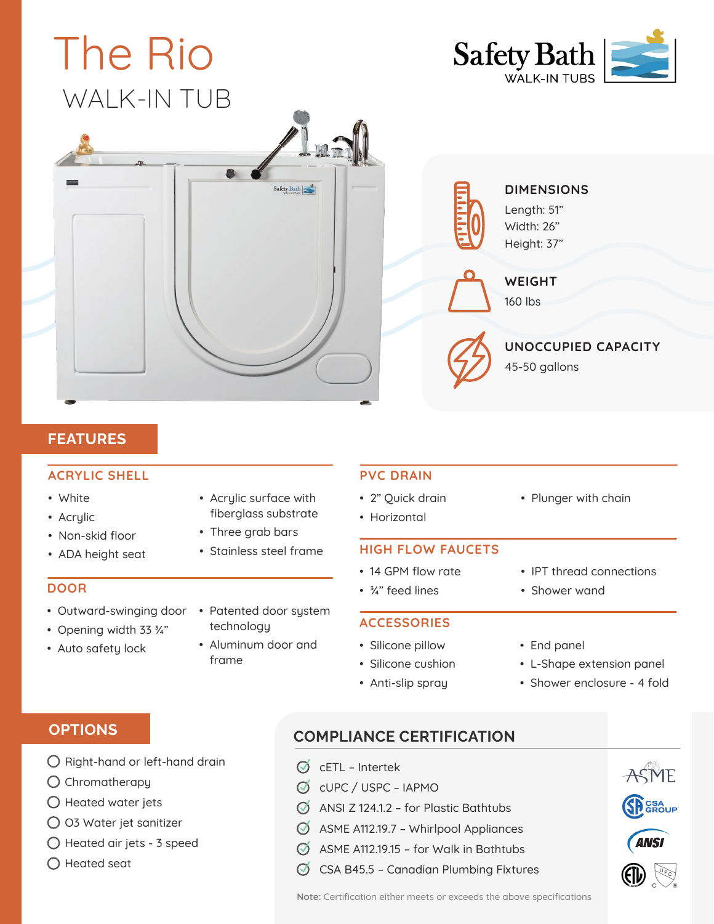

## **FEATURES**

#### **ACRYLIC SHELL**

- White
- Acrylic
- Non-skid floor
- ADA height seat

#### **DOOR**

- Outward-swinging door
- Opening width 33 ¾"
- Auto safety lock
- Acrylic surface with fiberglass substrate
- Three grab bars
- Stainless steel frame

- Patented door system technology
- Aluminum door and frame

### **PVC DRAIN**

- 2" Quick drain
- Horizontal

#### **HIGH FLOW FAUCETS**

- 14 GPM flow rate
- ¾" feed lines
- Silicone cushion
- Anti-slip spray

• IPT thread connections

# • End panel

- L-Shape extension panel
- Shower enclosure 4 fold

# **OPTIONS**

- $\bigcirc$  Right-hand or left-hand drain
- $\bigcirc$  Chromatherapy
- $\bigcirc$  Heated water jets
- O3 Water jet sanitizer
- $\bigcap$  Heated air jets 3 speed
- $\bigcap$  Heated seat

# **COMPLIANCE CERTIFICATION**

- $\oslash$  cETL Intertek
- cUPC / USPC IAPMO
- $\oslash$  ANSI Z 124.1.2 for Plastic Bathtubs
- $\oslash$  ASME A112.19.7 Whirlpool Appliances
- $\oslash$  ASME A112.19.15 for Walk in Bathtubs
- $\oslash$  CSA B45.5 Canadian Plumbing Fixtures

ASME

**SP** GROUP

**Note:** Certification either meets or exceeds the above specifications

- **ACCESSORIES** • Silicone pillow
	-
	-

• Shower wand

• Plunger with chain